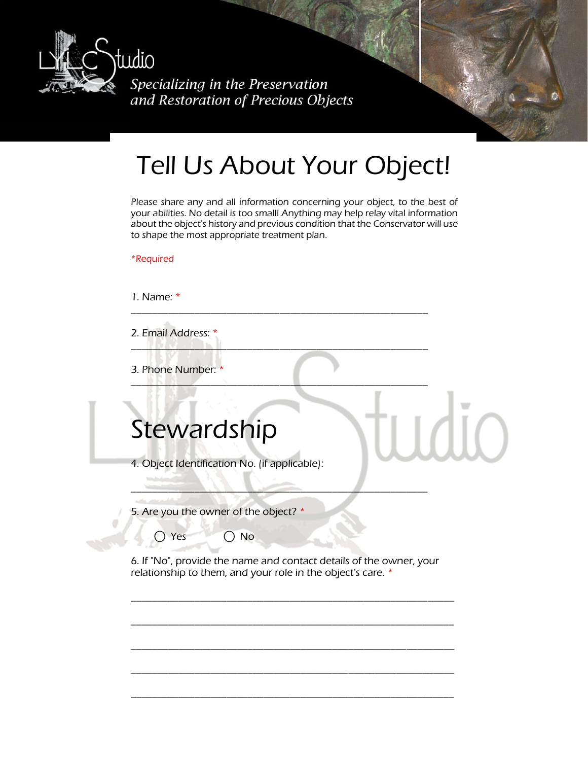

Specializing in the Preservation and Restoration of Precious Objects

## Tell Us About Your Object!

Please share any and all information concerning your object, to the best of your abilities. No detail is too small! Anything may help relay vital information about the object's history and previous condition that the Conservator will use to shape the most appropriate treatment plan.

\_\_\_\_\_\_\_\_\_\_\_\_\_\_\_\_\_\_\_\_\_\_\_\_\_\_\_\_\_\_\_\_\_\_\_\_\_\_\_\_\_\_\_\_\_\_\_\_\_\_\_\_\_\_\_\_

 $\frac{1}{2}$   $\frac{1}{2}$   $\frac{1}{2}$   $\frac{1}{2}$   $\frac{1}{2}$   $\frac{1}{2}$   $\frac{1}{2}$   $\frac{1}{2}$   $\frac{1}{2}$   $\frac{1}{2}$   $\frac{1}{2}$   $\frac{1}{2}$   $\frac{1}{2}$   $\frac{1}{2}$   $\frac{1}{2}$   $\frac{1}{2}$   $\frac{1}{2}$   $\frac{1}{2}$   $\frac{1}{2}$   $\frac{1}{2}$   $\frac{1}{2}$   $\frac{1}{2}$ 

\_\_\_\_\_\_\_\_\_\_\_\_\_\_\_\_\_\_\_\_\_\_\_\_\_\_\_\_\_\_\_\_\_\_\_\_\_\_\_\_\_\_\_\_\_\_\_\_\_\_\_\_\_\_\_\_

\*Required

1. Name: \*

2. Email Address: \* \_\_\_\_\_\_\_\_\_\_\_\_\_\_\_\_\_\_\_\_\_\_\_\_\_\_\_\_\_\_\_\_\_\_\_\_\_\_\_\_\_\_\_\_\_\_\_\_\_\_\_\_\_\_\_\_

3. Phone Number: \*

## **Stewardship**

4. Object Identification No. (if applicable):

5. Are you the owner of the object? \*

 $\bigcap$  Yes  $\bigcap$  No

6. If "No", provide the name and contact details of the owner, your relationship to them, and your role in the object's care. \*

\_\_\_\_\_\_\_\_\_\_\_\_\_\_\_\_\_\_\_\_\_\_\_\_\_\_\_\_\_\_\_\_\_\_\_\_\_\_\_\_\_\_\_\_\_\_\_\_\_\_\_\_\_\_\_\_\_\_\_\_\_

\_\_\_\_\_\_\_\_\_\_\_\_\_\_\_\_\_\_\_\_\_\_\_\_\_\_\_\_\_\_\_\_\_\_\_\_\_\_\_\_\_\_\_\_\_\_\_\_\_\_\_\_\_\_\_\_\_\_\_\_\_

\_\_\_\_\_\_\_\_\_\_\_\_\_\_\_\_\_\_\_\_\_\_\_\_\_\_\_\_\_\_\_\_\_\_\_\_\_\_\_\_\_\_\_\_\_\_\_\_\_\_\_\_\_\_\_\_\_\_\_\_\_

\_\_\_\_\_\_\_\_\_\_\_\_\_\_\_\_\_\_\_\_\_\_\_\_\_\_\_\_\_\_\_\_\_\_\_\_\_\_\_\_\_\_\_\_\_\_\_\_\_\_\_\_\_\_\_\_\_\_\_\_\_

\_\_\_\_\_\_\_\_\_\_\_\_\_\_\_\_\_\_\_\_\_\_\_\_\_\_\_\_\_\_\_\_\_\_\_\_\_\_\_\_\_\_\_\_\_\_\_\_\_\_\_\_\_\_\_\_\_\_\_\_\_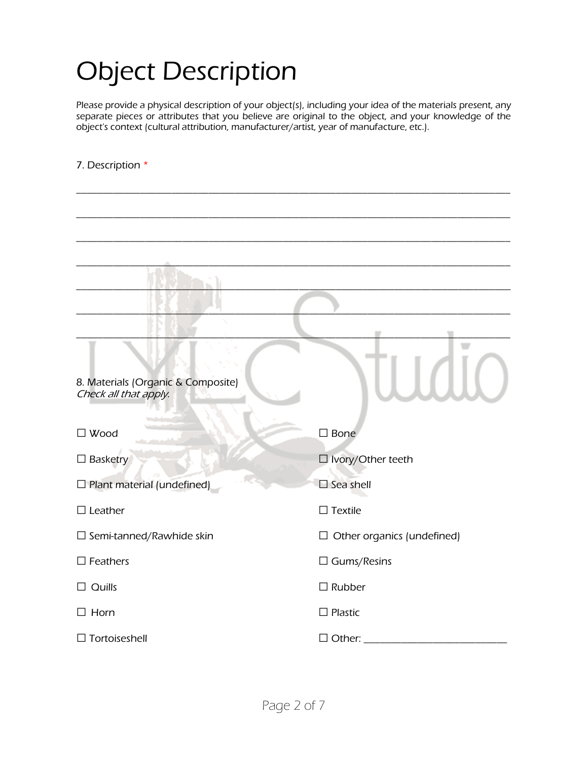## Object Description

Please provide a physical description of your object(s), including your idea of the materials present, any separate pieces or attributes that you believe are original to the object, and your knowledge of the object's context (cultural attribution, manufacturer/artist, year of manufacture, etc.).

\_\_\_\_\_\_\_\_\_\_\_\_\_\_\_\_\_\_\_\_\_\_\_\_\_\_\_\_\_\_\_\_\_\_\_\_\_\_\_\_\_\_\_\_\_\_\_\_\_\_\_\_\_\_\_\_\_\_\_\_\_\_\_\_\_\_\_\_\_\_\_\_\_\_\_\_\_\_\_\_\_\_

\_\_\_\_\_\_\_\_\_\_\_\_\_\_\_\_\_\_\_\_\_\_\_\_\_\_\_\_\_\_\_\_\_\_\_\_\_\_\_\_\_\_\_\_\_\_\_\_\_\_\_\_\_\_\_\_\_\_\_\_\_\_\_\_\_\_\_\_\_\_\_\_\_\_\_\_\_\_\_\_\_\_

#### 7. Description \*

| 8. Materials (Organic & Composite)<br>Check all that apply. |                                   |
|-------------------------------------------------------------|-----------------------------------|
| $\square$ Wood                                              | $\square$ Bone                    |
| $\Box$ Basketry                                             | $\Box$ Ivory/Other teeth          |
| $\Box$ Plant material (undefined)                           | $\square$ Sea shell               |
| $\Box$ Leather                                              | $\Box$ Textile                    |
| $\square$ Semi-tanned/Rawhide skin                          | $\Box$ Other organics (undefined) |
| $\Box$ Feathers                                             | $\Box$ Gums/Resins                |
| $\Box$ Quills                                               | $\Box$ Rubber                     |
| $\Box$ Horn                                                 | $\Box$ Plastic                    |
| $\Box$ Tortoiseshell                                        | $\Box$ Other:                     |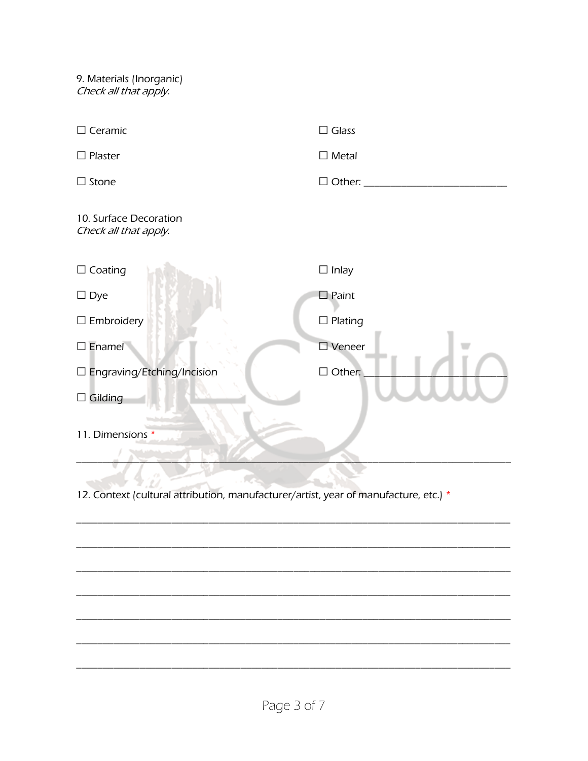9. Materials (Inorganic) Check all that apply.

| $\Box$ Ceramic                                  | $\square$ Glass       |
|-------------------------------------------------|-----------------------|
| $\Box$ Plaster                                  | $\Box$ Metal          |
| $\Box$ Stone                                    | $\Box$ Other:         |
| 10. Surface Decoration<br>Check all that apply. |                       |
| $\Box$ Coating                                  | $\Box$ Inlay          |
| $\square$ Dye                                   | $\square$ Paint       |
| $\Box$ Embroidery                               | $\square$ Plating     |
| $\square$ Enamel                                | $\square$ Veneer      |
| $\square$ Engraving/Etching/Incision            | $\Box$ Other:         |
| $\Box$ Gilding                                  |                       |
| 11. Dimensions *                                |                       |
|                                                 | $\ddotsc$ . $\ddotsc$ |

12. Context (cultural attribution, manufacturer/artist, year of manufacture, etc.) \*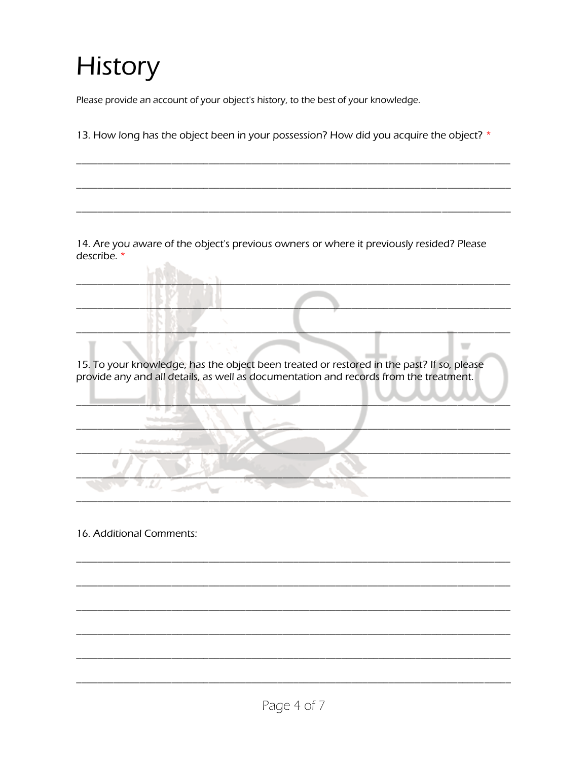# **History**

Please provide an account of your object's history, to the best of your knowledge.

13. How long has the object been in your possession? How did you acquire the object? \*

14. Are you aware of the object's previous owners or where it previously resided? Please describe.  $*$ 

15. To your knowledge, has the object been treated or restored in the past? If so, please provide any and all details, as well as documentation and records from the treatment.

 $\overline{\phantom{a}}$ 

16. Additional Comments:

σ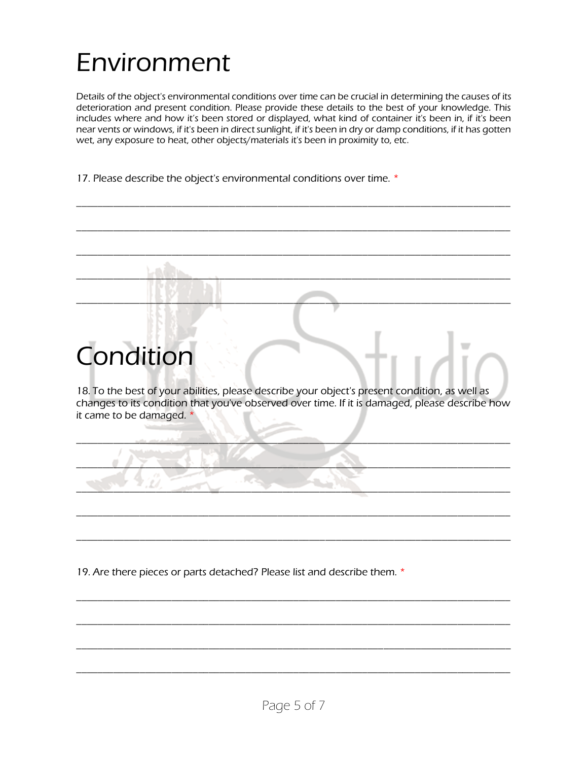## Environment

Details of the object's environmental conditions over time can be crucial in determining the causes of its deterioration and present condition. Please provide these details to the best of your knowledge. This includes where and how it's been stored or displayed, what kind of container it's been in, if it's been near vents or windows, if it's been in direct sunlight, if it's been in dry or damp conditions, if it has gotten wet, any exposure to heat, other objects/materials it's been in proximity to, etc.

\_\_\_\_\_\_\_\_\_\_\_\_\_\_\_\_\_\_\_\_\_\_\_\_\_\_\_\_\_\_\_\_\_\_\_\_\_\_\_\_\_\_\_\_\_\_\_\_\_\_\_\_\_\_\_\_\_\_\_\_\_\_\_\_\_\_\_\_\_\_\_\_\_\_\_\_\_\_\_\_\_\_

\_\_\_\_\_\_\_\_\_\_\_\_\_\_\_\_\_\_\_\_\_\_\_\_\_\_\_\_\_\_\_\_\_\_\_\_\_\_\_\_\_\_\_\_\_\_\_\_\_\_\_\_\_\_\_\_\_\_\_\_\_\_\_\_\_\_\_\_\_\_\_\_\_\_\_\_\_\_\_\_\_\_

17. Please describe the object's environmental conditions over time. \*

### \_\_\_\_\_\_\_\_\_\_\_\_\_\_\_\_\_\_\_\_\_\_\_\_\_\_\_\_\_\_\_\_\_\_\_\_\_\_\_\_\_\_\_\_\_\_\_\_\_\_\_\_\_\_\_\_\_\_\_\_\_\_\_\_\_\_\_\_\_\_\_\_\_\_\_\_\_\_\_\_\_\_ \_\_\_\_\_\_\_\_\_\_\_\_\_\_\_\_\_\_\_\_\_\_\_\_\_\_\_\_\_\_\_\_\_\_\_\_\_\_\_\_\_\_\_\_\_\_\_\_\_\_\_\_\_\_\_\_\_\_\_\_\_\_\_\_\_\_\_\_\_\_\_\_\_\_\_\_\_\_\_\_\_\_  $\Box$ Condition 18. To the best of your abilities, please describe your object's present condition, as well as changes to its condition that you've observed over time. If it is damaged, please describe how it came to be damaged. \*  $\frac{1}{2}$  ,  $\frac{1}{2}$  ,  $\frac{1}{2}$  ,  $\frac{1}{2}$  ,  $\frac{1}{2}$  ,  $\frac{1}{2}$  ,  $\frac{1}{2}$  ,  $\frac{1}{2}$  ,  $\frac{1}{2}$  ,  $\frac{1}{2}$  ,  $\frac{1}{2}$  ,  $\frac{1}{2}$  ,  $\frac{1}{2}$  ,  $\frac{1}{2}$  ,  $\frac{1}{2}$  ,  $\frac{1}{2}$  ,  $\frac{1}{2}$  ,  $\frac{1}{2}$  ,  $\frac{1$  $\Box$  $\Box$ \_\_\_\_\_\_\_\_\_\_\_\_\_\_\_\_\_\_\_\_\_\_\_\_\_\_\_\_\_\_\_\_\_\_\_\_\_\_\_\_\_\_\_\_\_\_\_\_\_\_\_\_\_\_\_\_\_\_\_\_\_\_\_\_\_\_\_\_\_\_\_\_\_\_\_\_\_\_\_\_\_\_ \_\_\_\_\_\_\_\_\_\_\_\_\_\_\_\_\_\_\_\_\_\_\_\_\_\_\_\_\_\_\_\_\_\_\_\_\_\_\_\_\_\_\_\_\_\_\_\_\_\_\_\_\_\_\_\_\_\_\_\_\_\_\_\_\_\_\_\_\_\_\_\_\_\_\_\_\_\_\_\_\_\_

19. Are there pieces or parts detached? Please list and describe them. \*

\_\_\_\_\_\_\_\_\_\_\_\_\_\_\_\_\_\_\_\_\_\_\_\_\_\_\_\_\_\_\_\_\_\_\_\_\_\_\_\_\_\_\_\_\_\_\_\_\_\_\_\_\_\_\_\_\_\_\_\_\_\_\_\_\_\_\_\_\_\_\_\_\_\_\_\_\_\_\_\_\_\_

\_\_\_\_\_\_\_\_\_\_\_\_\_\_\_\_\_\_\_\_\_\_\_\_\_\_\_\_\_\_\_\_\_\_\_\_\_\_\_\_\_\_\_\_\_\_\_\_\_\_\_\_\_\_\_\_\_\_\_\_\_\_\_\_\_\_\_\_\_\_\_\_\_\_\_\_\_\_\_\_\_\_

\_\_\_\_\_\_\_\_\_\_\_\_\_\_\_\_\_\_\_\_\_\_\_\_\_\_\_\_\_\_\_\_\_\_\_\_\_\_\_\_\_\_\_\_\_\_\_\_\_\_\_\_\_\_\_\_\_\_\_\_\_\_\_\_\_\_\_\_\_\_\_\_\_\_\_\_\_\_\_\_\_\_

\_\_\_\_\_\_\_\_\_\_\_\_\_\_\_\_\_\_\_\_\_\_\_\_\_\_\_\_\_\_\_\_\_\_\_\_\_\_\_\_\_\_\_\_\_\_\_\_\_\_\_\_\_\_\_\_\_\_\_\_\_\_\_\_\_\_\_\_\_\_\_\_\_\_\_\_\_\_\_\_\_\_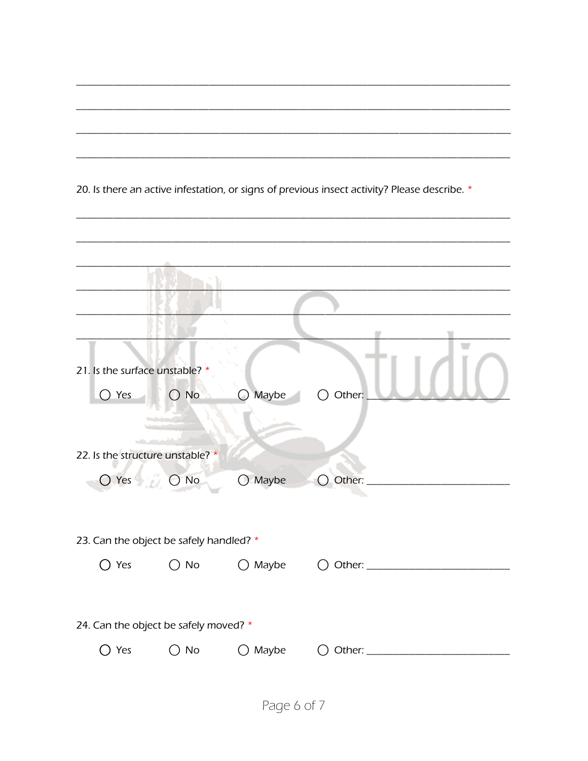|                                         |                               |                  | 20. Is there an active infestation, or signs of previous insect activity? Please describe. * |  |  |
|-----------------------------------------|-------------------------------|------------------|----------------------------------------------------------------------------------------------|--|--|
|                                         |                               |                  |                                                                                              |  |  |
|                                         |                               |                  |                                                                                              |  |  |
|                                         |                               |                  |                                                                                              |  |  |
|                                         |                               |                  |                                                                                              |  |  |
|                                         |                               |                  |                                                                                              |  |  |
|                                         |                               |                  |                                                                                              |  |  |
| 21. Is the surface unstable? *          |                               |                  |                                                                                              |  |  |
| $\bigcirc$ Yes                          | $\bigcirc$ No                 | Maybe            | $\bigcirc$ Other:                                                                            |  |  |
|                                         |                               |                  |                                                                                              |  |  |
| 22. Is the structure unstable? *        |                               |                  |                                                                                              |  |  |
| $\bigcirc$ Yes                          | $\bigcirc$ No                 | $\bigcirc$ Maybe | Other:                                                                                       |  |  |
|                                         |                               |                  |                                                                                              |  |  |
|                                         |                               |                  |                                                                                              |  |  |
| 23. Can the object be safely handled? * |                               |                  |                                                                                              |  |  |
|                                         |                               |                  |                                                                                              |  |  |
|                                         |                               |                  |                                                                                              |  |  |
| 24. Can the object be safely moved? *   |                               |                  |                                                                                              |  |  |
| ○ Yes                                   | $\bigcirc$ No $\qquad \qquad$ |                  | ○ Maybe    ○ Other: ____________________________                                             |  |  |
|                                         |                               |                  |                                                                                              |  |  |